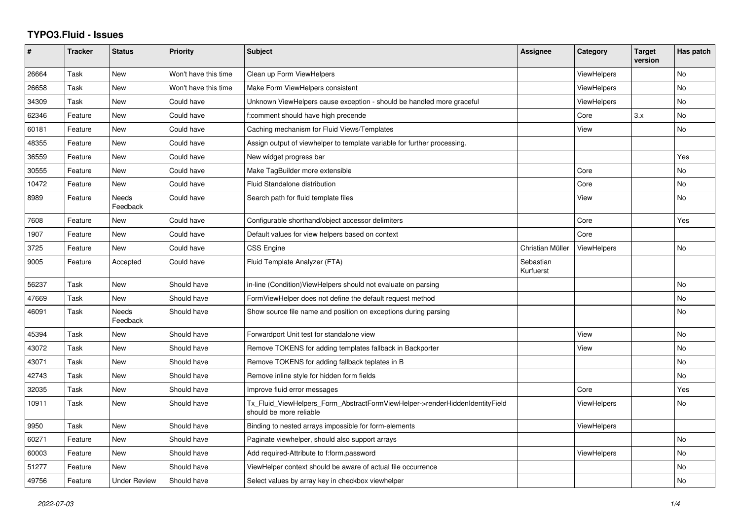## **TYPO3.Fluid - Issues**

| #     | <b>Tracker</b> | <b>Status</b>       | <b>Priority</b>      | <b>Subject</b>                                                                                         | Assignee               | Category           | <b>Target</b><br>version | Has patch |
|-------|----------------|---------------------|----------------------|--------------------------------------------------------------------------------------------------------|------------------------|--------------------|--------------------------|-----------|
| 26664 | Task           | New                 | Won't have this time | Clean up Form ViewHelpers                                                                              |                        | <b>ViewHelpers</b> |                          | No        |
| 26658 | Task           | New                 | Won't have this time | Make Form ViewHelpers consistent                                                                       |                        | ViewHelpers        |                          | <b>No</b> |
| 34309 | Task           | New                 | Could have           | Unknown ViewHelpers cause exception - should be handled more graceful                                  |                        | <b>ViewHelpers</b> |                          | <b>No</b> |
| 62346 | Feature        | New                 | Could have           | f:comment should have high precende                                                                    |                        | Core               | 3.x                      | No.       |
| 60181 | Feature        | New                 | Could have           | Caching mechanism for Fluid Views/Templates                                                            |                        | View               |                          | No        |
| 48355 | Feature        | New                 | Could have           | Assign output of viewhelper to template variable for further processing.                               |                        |                    |                          |           |
| 36559 | Feature        | New                 | Could have           | New widget progress bar                                                                                |                        |                    |                          | Yes       |
| 30555 | Feature        | New                 | Could have           | Make TagBuilder more extensible                                                                        |                        | Core               |                          | No        |
| 10472 | Feature        | <b>New</b>          | Could have           | Fluid Standalone distribution                                                                          |                        | Core               |                          | <b>No</b> |
| 8989  | Feature        | Needs<br>Feedback   | Could have           | Search path for fluid template files                                                                   |                        | View               |                          | No        |
| 7608  | Feature        | <b>New</b>          | Could have           | Configurable shorthand/object accessor delimiters                                                      |                        | Core               |                          | Yes       |
| 1907  | Feature        | New                 | Could have           | Default values for view helpers based on context                                                       |                        | Core               |                          |           |
| 3725  | Feature        | New                 | Could have           | <b>CSS Engine</b>                                                                                      | Christian Müller       | <b>ViewHelpers</b> |                          | <b>No</b> |
| 9005  | Feature        | Accepted            | Could have           | Fluid Template Analyzer (FTA)                                                                          | Sebastian<br>Kurfuerst |                    |                          |           |
| 56237 | Task           | <b>New</b>          | Should have          | in-line (Condition) View Helpers should not evaluate on parsing                                        |                        |                    |                          | <b>No</b> |
| 47669 | Task           | New                 | Should have          | FormViewHelper does not define the default request method                                              |                        |                    |                          | No        |
| 46091 | Task           | Needs<br>Feedback   | Should have          | Show source file name and position on exceptions during parsing                                        |                        |                    |                          | <b>No</b> |
| 45394 | Task           | New                 | Should have          | Forwardport Unit test for standalone view                                                              |                        | View               |                          | No        |
| 43072 | Task           | New                 | Should have          | Remove TOKENS for adding templates fallback in Backporter                                              |                        | View               |                          | <b>No</b> |
| 43071 | Task           | New                 | Should have          | Remove TOKENS for adding fallback teplates in B                                                        |                        |                    |                          | No        |
| 42743 | Task           | <b>New</b>          | Should have          | Remove inline style for hidden form fields                                                             |                        |                    |                          | <b>No</b> |
| 32035 | Task           | New                 | Should have          | Improve fluid error messages                                                                           |                        | Core               |                          | Yes       |
| 10911 | Task           | New                 | Should have          | Tx_Fluid_ViewHelpers_Form_AbstractFormViewHelper->renderHiddenIdentityField<br>should be more reliable |                        | ViewHelpers        |                          | <b>No</b> |
| 9950  | Task           | New                 | Should have          | Binding to nested arrays impossible for form-elements                                                  |                        | ViewHelpers        |                          |           |
| 60271 | Feature        | <b>New</b>          | Should have          | Paginate viewhelper, should also support arrays                                                        |                        |                    |                          | <b>No</b> |
| 60003 | Feature        | New                 | Should have          | Add required-Attribute to f:form.password                                                              |                        | <b>ViewHelpers</b> |                          | No        |
| 51277 | Feature        | New                 | Should have          | ViewHelper context should be aware of actual file occurrence                                           |                        |                    |                          | No        |
| 49756 | Feature        | <b>Under Review</b> | Should have          | Select values by array key in checkbox viewhelper                                                      |                        |                    |                          | No        |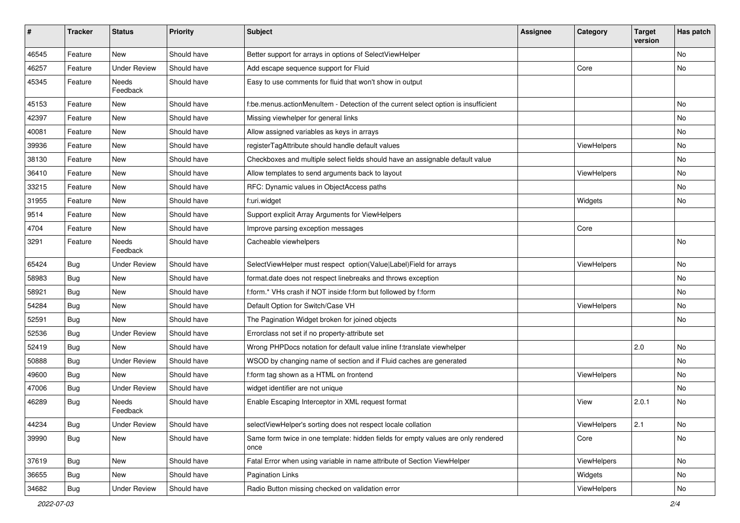| #     | <b>Tracker</b> | <b>Status</b>       | <b>Priority</b> | <b>Subject</b>                                                                            | <b>Assignee</b> | Category    | <b>Target</b><br>version | Has patch |
|-------|----------------|---------------------|-----------------|-------------------------------------------------------------------------------------------|-----------------|-------------|--------------------------|-----------|
| 46545 | Feature        | New                 | Should have     | Better support for arrays in options of SelectViewHelper                                  |                 |             |                          | <b>No</b> |
| 46257 | Feature        | Under Review        | Should have     | Add escape sequence support for Fluid                                                     |                 | Core        |                          | No        |
| 45345 | Feature        | Needs<br>Feedback   | Should have     | Easy to use comments for fluid that won't show in output                                  |                 |             |                          |           |
| 45153 | Feature        | New                 | Should have     | f:be.menus.actionMenuItem - Detection of the current select option is insufficient        |                 |             |                          | No        |
| 42397 | Feature        | <b>New</b>          | Should have     | Missing viewhelper for general links                                                      |                 |             |                          | No        |
| 40081 | Feature        | New                 | Should have     | Allow assigned variables as keys in arrays                                                |                 |             |                          | No        |
| 39936 | Feature        | New                 | Should have     | registerTagAttribute should handle default values                                         |                 | ViewHelpers |                          | No        |
| 38130 | Feature        | New                 | Should have     | Checkboxes and multiple select fields should have an assignable default value             |                 |             |                          | No        |
| 36410 | Feature        | New                 | Should have     | Allow templates to send arguments back to layout                                          |                 | ViewHelpers |                          | No        |
| 33215 | Feature        | New                 | Should have     | RFC: Dynamic values in ObjectAccess paths                                                 |                 |             |                          | No        |
| 31955 | Feature        | New                 | Should have     | f:uri.widget                                                                              |                 | Widgets     |                          | No        |
| 9514  | Feature        | New                 | Should have     | Support explicit Array Arguments for ViewHelpers                                          |                 |             |                          |           |
| 4704  | Feature        | New                 | Should have     | Improve parsing exception messages                                                        |                 | Core        |                          |           |
| 3291  | Feature        | Needs<br>Feedback   | Should have     | Cacheable viewhelpers                                                                     |                 |             |                          | No        |
| 65424 | Bug            | <b>Under Review</b> | Should have     | SelectViewHelper must respect option(Value Label)Field for arrays                         |                 | ViewHelpers |                          | No        |
| 58983 | Bug            | New                 | Should have     | format.date does not respect linebreaks and throws exception                              |                 |             |                          | No        |
| 58921 | Bug            | New                 | Should have     | f:form.* VHs crash if NOT inside f:form but followed by f:form                            |                 |             |                          | No        |
| 54284 | Bug            | New                 | Should have     | Default Option for Switch/Case VH                                                         |                 | ViewHelpers |                          | No        |
| 52591 | Bug            | <b>New</b>          | Should have     | The Pagination Widget broken for joined objects                                           |                 |             |                          | No        |
| 52536 | Bug            | <b>Under Review</b> | Should have     | Errorclass not set if no property-attribute set                                           |                 |             |                          |           |
| 52419 | Bug            | New                 | Should have     | Wrong PHPDocs notation for default value inline f:translate viewhelper                    |                 |             | 2.0                      | No        |
| 50888 | Bug            | <b>Under Review</b> | Should have     | WSOD by changing name of section and if Fluid caches are generated                        |                 |             |                          | No        |
| 49600 | Bug            | <b>New</b>          | Should have     | f:form tag shown as a HTML on frontend                                                    |                 | ViewHelpers |                          | No        |
| 47006 | Bug            | <b>Under Review</b> | Should have     | widget identifier are not unique                                                          |                 |             |                          | No        |
| 46289 | Bug            | Needs<br>Feedback   | Should have     | Enable Escaping Interceptor in XML request format                                         |                 | View        | 2.0.1                    | No        |
| 44234 | <b>Bug</b>     | <b>Under Review</b> | Should have     | selectViewHelper's sorting does not respect locale collation                              |                 | ViewHelpers | 2.1                      | No        |
| 39990 | <b>Bug</b>     | New                 | Should have     | Same form twice in one template: hidden fields for empty values are only rendered<br>once |                 | Core        |                          | No        |
| 37619 | Bug            | New                 | Should have     | Fatal Error when using variable in name attribute of Section ViewHelper                   |                 | ViewHelpers |                          | No        |
| 36655 | Bug            | New                 | Should have     | Pagination Links                                                                          |                 | Widgets     |                          | No        |
| 34682 | <b>Bug</b>     | <b>Under Review</b> | Should have     | Radio Button missing checked on validation error                                          |                 | ViewHelpers |                          | No        |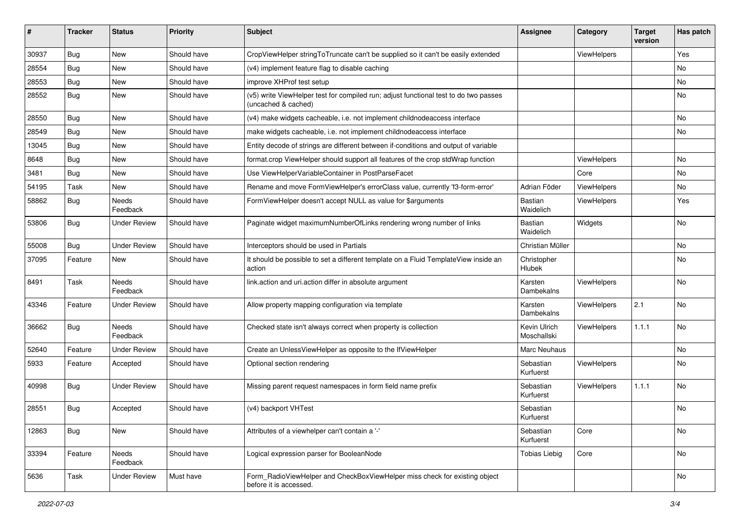| ∦     | <b>Tracker</b> | <b>Status</b>            | <b>Priority</b> | Subject                                                                                                     | <b>Assignee</b>             | Category    | <b>Target</b><br>version | Has patch |
|-------|----------------|--------------------------|-----------------|-------------------------------------------------------------------------------------------------------------|-----------------------------|-------------|--------------------------|-----------|
| 30937 | Bug            | New                      | Should have     | CropViewHelper stringToTruncate can't be supplied so it can't be easily extended                            |                             | ViewHelpers |                          | Yes       |
| 28554 | <b>Bug</b>     | New                      | Should have     | (v4) implement feature flag to disable caching                                                              |                             |             |                          | No        |
| 28553 | Bug            | New                      | Should have     | improve XHProf test setup                                                                                   |                             |             |                          | No        |
| 28552 | Bug            | New                      | Should have     | (v5) write ViewHelper test for compiled run; adjust functional test to do two passes<br>(uncached & cached) |                             |             |                          | No        |
| 28550 | Bug            | New                      | Should have     | (v4) make widgets cacheable, i.e. not implement childnodeaccess interface                                   |                             |             |                          | No        |
| 28549 | Bug            | New                      | Should have     | make widgets cacheable, i.e. not implement childnodeaccess interface                                        |                             |             |                          | No        |
| 13045 | <b>Bug</b>     | New                      | Should have     | Entity decode of strings are different between if-conditions and output of variable                         |                             |             |                          |           |
| 8648  | Bug            | New                      | Should have     | format.crop ViewHelper should support all features of the crop stdWrap function                             |                             | ViewHelpers |                          | No        |
| 3481  | <b>Bug</b>     | New                      | Should have     | Use ViewHelperVariableContainer in PostParseFacet                                                           |                             | Core        |                          | No        |
| 54195 | Task           | New                      | Should have     | Rename and move FormViewHelper's errorClass value, currently 'f3-form-error'                                | Adrian Föder                | ViewHelpers |                          | No        |
| 58862 | Bug            | Needs<br>Feedback        | Should have     | FormViewHelper doesn't accept NULL as value for \$arguments                                                 | Bastian<br>Waidelich        | ViewHelpers |                          | Yes       |
| 53806 | Bug            | <b>Under Review</b>      | Should have     | Paginate widget maximumNumberOfLinks rendering wrong number of links                                        | Bastian<br>Waidelich        | Widgets     |                          | No        |
| 55008 | Bug            | <b>Under Review</b>      | Should have     | Interceptors should be used in Partials                                                                     | Christian Müller            |             |                          | No        |
| 37095 | Feature        | New                      | Should have     | It should be possible to set a different template on a Fluid TemplateView inside an<br>action               | Christopher<br>Hlubek       |             |                          | No        |
| 8491  | Task           | Needs<br>Feedback        | Should have     | link.action and uri.action differ in absolute argument                                                      | Karsten<br>Dambekalns       | ViewHelpers |                          | <b>No</b> |
| 43346 | Feature        | <b>Under Review</b>      | Should have     | Allow property mapping configuration via template                                                           | Karsten<br>Dambekalns       | ViewHelpers | 2.1                      | <b>No</b> |
| 36662 | Bug            | <b>Needs</b><br>Feedback | Should have     | Checked state isn't always correct when property is collection                                              | Kevin Ulrich<br>Moschallski | ViewHelpers | 1.1.1                    | <b>No</b> |
| 52640 | Feature        | <b>Under Review</b>      | Should have     | Create an UnlessViewHelper as opposite to the IfViewHelper                                                  | Marc Neuhaus                |             |                          | No        |
| 5933  | Feature        | Accepted                 | Should have     | Optional section rendering                                                                                  | Sebastian<br>Kurfuerst      | ViewHelpers |                          | No        |
| 40998 | <b>Bug</b>     | <b>Under Review</b>      | Should have     | Missing parent request namespaces in form field name prefix                                                 | Sebastian<br>Kurfuerst      | ViewHelpers | 1.1.1                    | No        |
| 28551 | Bug            | Accepted                 | Should have     | (v4) backport VHTest                                                                                        | Sebastian<br>Kurfuerst      |             |                          | <b>No</b> |
| 12863 | Bug            | New                      | Should have     | Attributes of a viewhelper can't contain a '-'                                                              | Sebastian<br>Kurfuerst      | Core        |                          | No        |
| 33394 | Feature        | Needs<br>Feedback        | Should have     | Logical expression parser for BooleanNode                                                                   | <b>Tobias Liebig</b>        | Core        |                          | No        |
| 5636  | Task           | <b>Under Review</b>      | Must have       | Form_RadioViewHelper and CheckBoxViewHelper miss check for existing object<br>before it is accessed.        |                             |             |                          | No        |